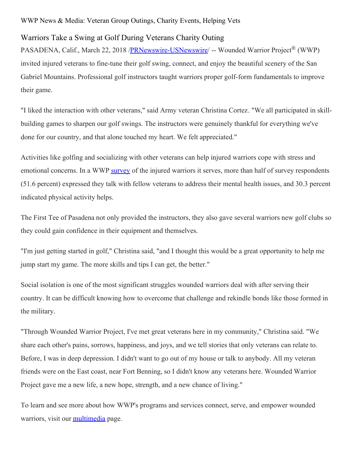## WWP News & Media: Veteran Group Outings, Charity Events, Helping Vets

## Warriors Take a Swing at Golf During Veterans Charity Outing

PASADENA, Calif., March 22, 2018 [/PRNewswire-USNewswire](http://www.prnewswire.com/)/ -- Wounded Warrior Project<sup>®</sup> (WWP) invited injured veterans to fine-tune their golf swing, connect, and enjoy the beautiful scenery of the San Gabriel Mountains. Professional golf instructors taught warriors proper golf-form fundamentals to improve their game.

"I liked the interaction with other veterans," said Army veteran Christina Cortez. "We all participated in skillbuilding games to sharpen our golf swings. The instructors were genuinely thankful for everything we've done for our country, and that alone touched my heart. We felt appreciated."

Activities like golfing and socializing with other veterans can help injured warriors cope with stress and emotional concerns. In a WWP [survey](https://www.woundedwarriorproject.org/survey) of the injured warriors it serves, more than half of survey respondents (51.6 percent) expressed they talk with fellow veterans to address their mental health issues, and 30.3 percent indicated physical activity helps.

The First Tee of Pasadena not only provided the instructors, they also gave several warriors new golf clubs so they could gain confidence in their equipment and themselves.

"I'm just getting started in golf," Christina said, "and I thought this would be a great opportunity to help me jump start my game. The more skills and tips I can get, the better."

Social isolation is one of the most significant struggles wounded warriors deal with after serving their country. It can be difficult knowing how to overcome that challenge and rekindle bonds like those formed in the military.

"Through Wounded Warrior Project, I've met great veterans here in my community," Christina said. "We share each other's pains, sorrows, happiness, and joys, and we tell stories that only veterans can relate to. Before, I was in deep depression. I didn't want to go out of my house or talk to anybody. All my veteran friends were on the East coast, near Fort Benning, so I didn't know any veterans here. Wounded Warrior Project gave me a new life, a new hope, strength, and a new chance of living."

To learn and see more about how WWP's programs and services connect, serve, and empower wounded warriors, visit our [multimedia](https://newsroom.woundedwarriorproject.org/news-releases) page.